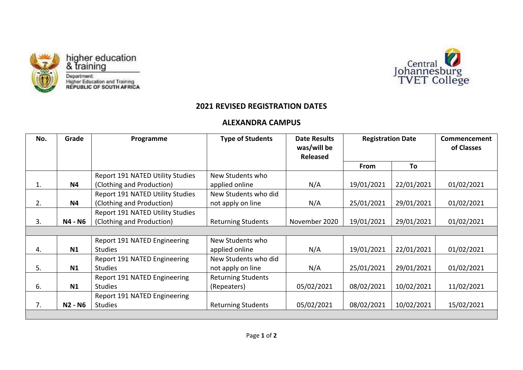



## **2021 REVISED REGISTRATION DATES**

## **ALEXANDRA CAMPUS**

| No. | Grade          | Programme                        | <b>Type of Students</b>   | <b>Date Results</b><br>was/will be<br><b>Released</b> | <b>Registration Date</b> |            | Commencement<br>of Classes |
|-----|----------------|----------------------------------|---------------------------|-------------------------------------------------------|--------------------------|------------|----------------------------|
|     |                |                                  |                           |                                                       | From                     | To         |                            |
|     |                | Report 191 NATED Utility Studies | New Students who          |                                                       |                          |            |                            |
| 1.  | <b>N4</b>      | (Clothing and Production)        | applied online            | N/A                                                   | 19/01/2021               | 22/01/2021 | 01/02/2021                 |
|     |                | Report 191 NATED Utility Studies | New Students who did      |                                                       |                          |            |                            |
| 2.  | <b>N4</b>      | (Clothing and Production)        | not apply on line         | N/A                                                   | 25/01/2021               | 29/01/2021 | 01/02/2021                 |
|     |                | Report 191 NATED Utility Studies |                           |                                                       |                          |            |                            |
| 3.  | N4 - N6        | (Clothing and Production)        | <b>Returning Students</b> | November 2020                                         | 19/01/2021               | 29/01/2021 | 01/02/2021                 |
|     |                |                                  |                           |                                                       |                          |            |                            |
|     |                | Report 191 NATED Engineering     | New Students who          |                                                       |                          |            |                            |
| 4.  | N1             | <b>Studies</b>                   | applied online            | N/A                                                   | 19/01/2021               | 22/01/2021 | 01/02/2021                 |
|     |                | Report 191 NATED Engineering     | New Students who did      |                                                       |                          |            |                            |
| 5.  | N1             | <b>Studies</b>                   | not apply on line         | N/A                                                   | 25/01/2021               | 29/01/2021 | 01/02/2021                 |
|     |                | Report 191 NATED Engineering     | <b>Returning Students</b> |                                                       |                          |            |                            |
| 6.  | N1             | <b>Studies</b>                   | (Repeaters)               | 05/02/2021                                            | 08/02/2021               | 10/02/2021 | 11/02/2021                 |
|     |                | Report 191 NATED Engineering     |                           |                                                       |                          |            |                            |
| 7.  | <b>N2 - N6</b> | <b>Studies</b>                   | <b>Returning Students</b> | 05/02/2021                                            | 08/02/2021               | 10/02/2021 | 15/02/2021                 |
|     |                |                                  |                           |                                                       |                          |            |                            |